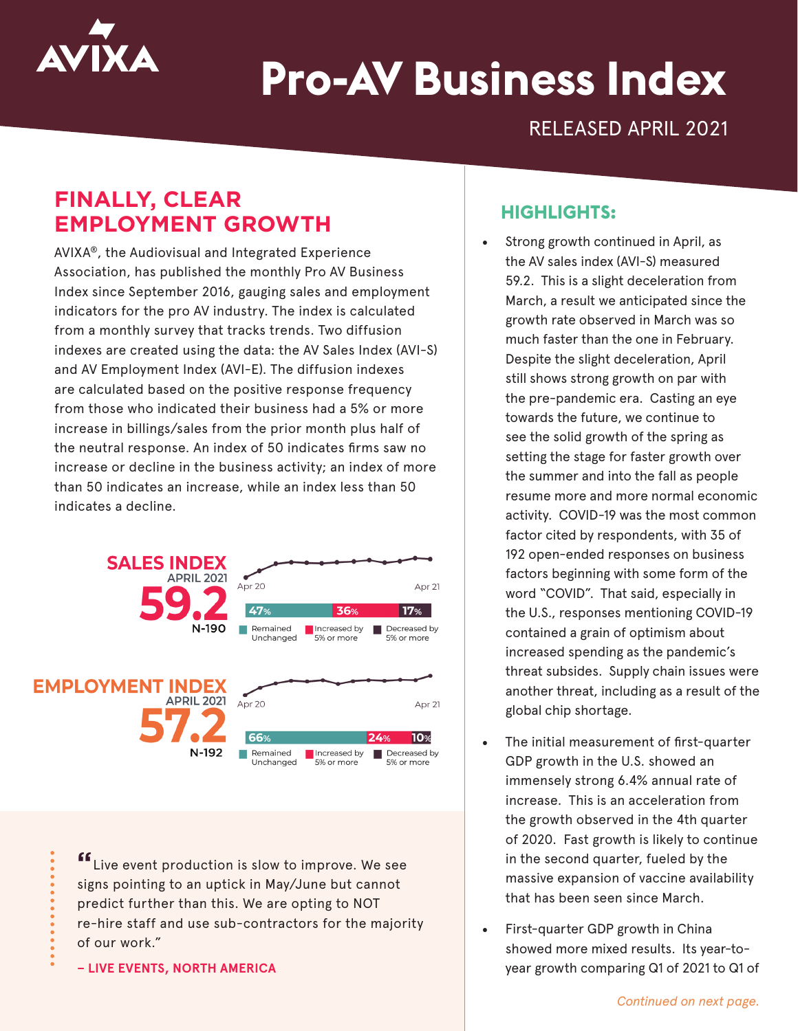

# **Pro-AV Business Index**

RELEASED APRIL 2021

## **FINALLY, CLEAR EMPLOYMENT GROWTH**

AVIXA®, the Audiovisual and Integrated Experience Association, has published the monthly Pro AV Business Index since September 2016, gauging sales and employment indicators for the pro AV industry. The index is calculated from a monthly survey that tracks trends. Two diffusion indexes are created using the data: the AV Sales Index (AVI-S) and AV Employment Index (AVI-E). The diffusion indexes are calculated based on the positive response frequency from those who indicated their business had a 5% or more increase in billings/sales from the prior month plus half of the neutral response. An index of 50 indicates firms saw no increase or decline in the business activity; an index of more than 50 indicates an increase, while an index less than 50 indicates a decline.



**"**Live event production is slow to improve. We see signs pointing to an uptick in May/June but cannot predict further than this. We are opting to NOT re-hire staff and use sub-contractors for the majority of our work."

**– LIVE EVENTS, NORTH AMERICA**

#### **HIGHLIGHTS:**

- Strong growth continued in April, as the AV sales index (AVI-S) measured 59.2. This is a slight deceleration from March, a result we anticipated since the growth rate observed in March was so much faster than the one in February. Despite the slight deceleration, April still shows strong growth on par with the pre-pandemic era. Casting an eye towards the future, we continue to see the solid growth of the spring as setting the stage for faster growth over the summer and into the fall as people resume more and more normal economic activity. COVID-19 was the most common factor cited by respondents, with 35 of 192 open-ended responses on business factors beginning with some form of the word "COVID". That said, especially in the U.S., responses mentioning COVID-19 contained a grain of optimism about increased spending as the pandemic's threat subsides. Supply chain issues were another threat, including as a result of the global chip shortage.
- The initial measurement of first-quarter GDP growth in the U.S. showed an immensely strong 6.4% annual rate of increase. This is an acceleration from the growth observed in the 4th quarter of 2020. Fast growth is likely to continue in the second quarter, fueled by the massive expansion of vaccine availability that has been seen since March.
- First-quarter GDP growth in China showed more mixed results. Its year-toyear growth comparing Q1 of 2021 to Q1 of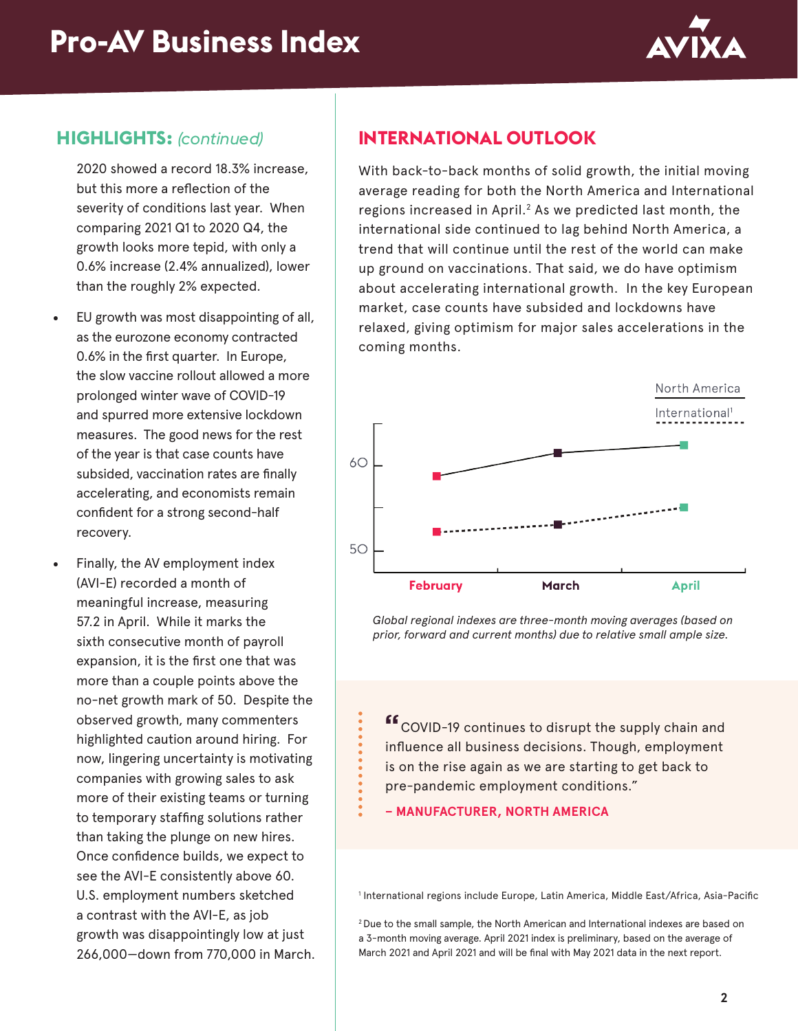

#### **HIGHLIGHTS:** *(continued)*

2020 showed a record 18.3% increase, but this more a reflection of the severity of conditions last year. When comparing 2021 Q1 to 2020 Q4, the growth looks more tepid, with only a 0.6% increase (2.4% annualized), lower than the roughly 2% expected.

- EU growth was most disappointing of all, as the eurozone economy contracted 0.6% in the first quarter. In Europe, the slow vaccine rollout allowed a more prolonged winter wave of COVID-19 and spurred more extensive lockdown measures. The good news for the rest of the year is that case counts have subsided, vaccination rates are finally accelerating, and economists remain confident for a strong second-half recovery.
- Finally, the AV employment index (AVI-E) recorded a month of meaningful increase, measuring 57.2 in April. While it marks the sixth consecutive month of payroll expansion, it is the first one that was more than a couple points above the no-net growth mark of 50. Despite the observed growth, many commenters highlighted caution around hiring. For now, lingering uncertainty is motivating companies with growing sales to ask more of their existing teams or turning to temporary staffing solutions rather than taking the plunge on new hires. Once confidence builds, we expect to see the AVI-E consistently above 60. U.S. employment numbers sketched a contrast with the AVI-E, as job growth was disappointingly low at just 266,000—down from 770,000 in March.

### **INTERNATIONAL OUTLOOK**

With back-to-back months of solid growth, the initial moving average reading for both the North America and International regions increased in April.<sup>2</sup> As we predicted last month, the international side continued to lag behind North America, a trend that will continue until the rest of the world can make up ground on vaccinations. That said, we do have optimism about accelerating international growth. In the key European market, case counts have subsided and lockdowns have relaxed, giving optimism for major sales accelerations in the coming months.



*Global regional indexes are three-month moving averages (based on prior, forward and current months) due to relative small ample size.*

**"**COVID-19 continues to disrupt the supply chain and influence all business decisions. Though, employment is on the rise again as we are starting to get back to pre-pandemic employment conditions."

**– MANUFACTURER, NORTH AMERICA**

1 International regions include Europe, Latin America, Middle East/Africa, Asia-Pacific

2 Due to the small sample, the North American and International indexes are based on a 3-month moving average. April 2021 index is preliminary, based on the average of March 2021 and April 2021 and will be final with May 2021 data in the next report.